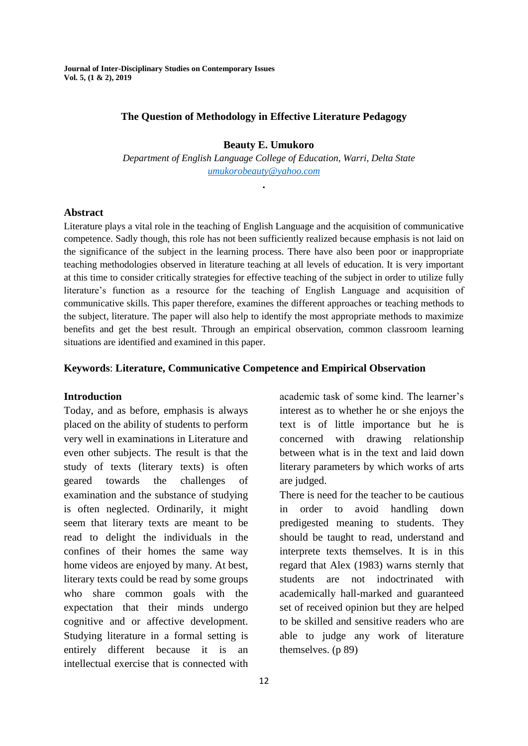**Journal of Inter-Disciplinary Studies on Contemporary Issues Vol. 5, (1 & 2), 2019**

### **The Question of Methodology in Effective Literature Pedagogy**

**Beauty E. Umukoro**

 *Department of English Language College of Education, Warri, Delta State [umukorobeauty@yahoo.com](mailto:umukorobeauty@yahoo.com)*

**.**

#### **Abstract**

Literature plays a vital role in the teaching of English Language and the acquisition of communicative competence. Sadly though, this role has not been sufficiently realized because emphasis is not laid on the significance of the subject in the learning process. There have also been poor or inappropriate teaching methodologies observed in literature teaching at all levels of education. It is very important at this time to consider critically strategies for effective teaching of the subject in order to utilize fully literature"s function as a resource for the teaching of English Language and acquisition of communicative skills. This paper therefore, examines the different approaches or teaching methods to the subject, literature. The paper will also help to identify the most appropriate methods to maximize benefits and get the best result. Through an empirical observation, common classroom learning situations are identified and examined in this paper.

### **Keywords**: **Literature, Communicative Competence and Empirical Observation**

#### **Introduction**

Today, and as before, emphasis is always placed on the ability of students to perform very well in examinations in Literature and even other subjects. The result is that the study of texts (literary texts) is often geared towards the challenges of examination and the substance of studying is often neglected. Ordinarily, it might seem that literary texts are meant to be read to delight the individuals in the confines of their homes the same way home videos are enjoyed by many. At best, literary texts could be read by some groups who share common goals with the expectation that their minds undergo cognitive and or affective development. Studying literature in a formal setting is entirely different because it is an intellectual exercise that is connected with

academic task of some kind. The learner's interest as to whether he or she enjoys the text is of little importance but he is concerned with drawing relationship between what is in the text and laid down literary parameters by which works of arts are judged.

There is need for the teacher to be cautious in order to avoid handling down predigested meaning to students. They should be taught to read, understand and interprete texts themselves. It is in this regard that Alex (1983) warns sternly that students are not indoctrinated with academically hall-marked and guaranteed set of received opinion but they are helped to be skilled and sensitive readers who are able to judge any work of literature themselves. (p 89)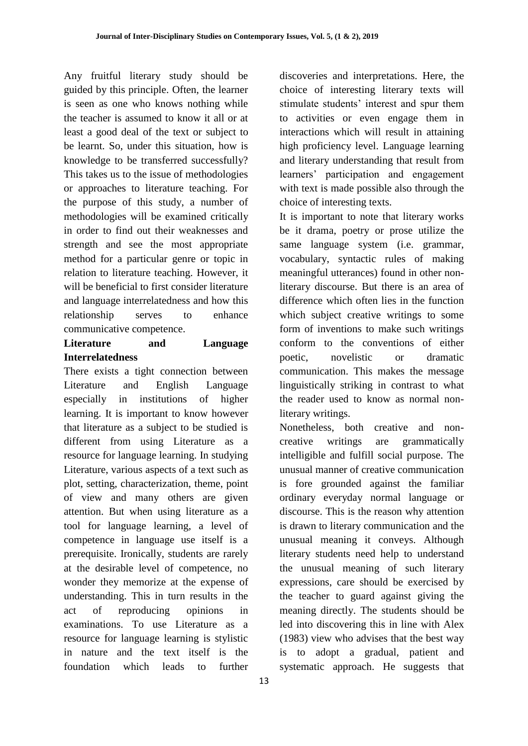Any fruitful literary study should be guided by this principle. Often, the learner is seen as one who knows nothing while the teacher is assumed to know it all or at least a good deal of the text or subject to be learnt. So, under this situation, how is knowledge to be transferred successfully? This takes us to the issue of methodologies or approaches to literature teaching. For the purpose of this study, a number of methodologies will be examined critically in order to find out their weaknesses and strength and see the most appropriate method for a particular genre or topic in relation to literature teaching. However, it will be beneficial to first consider literature and language interrelatedness and how this relationship serves to enhance communicative competence.

## **Literature and Language Interrelatedness**

There exists a tight connection between Literature and English Language especially in institutions of higher learning. It is important to know however that literature as a subject to be studied is different from using Literature as a resource for language learning. In studying Literature, various aspects of a text such as plot, setting, characterization, theme, point of view and many others are given attention. But when using literature as a tool for language learning, a level of competence in language use itself is a prerequisite. Ironically, students are rarely at the desirable level of competence, no wonder they memorize at the expense of understanding. This in turn results in the act of reproducing opinions in examinations. To use Literature as a resource for language learning is stylistic in nature and the text itself is the foundation which leads to further

discoveries and interpretations. Here, the choice of interesting literary texts will stimulate students' interest and spur them to activities or even engage them in interactions which will result in attaining high proficiency level. Language learning and literary understanding that result from learners" participation and engagement with text is made possible also through the choice of interesting texts.

It is important to note that literary works be it drama, poetry or prose utilize the same language system (i.e. grammar, vocabulary, syntactic rules of making meaningful utterances) found in other nonliterary discourse. But there is an area of difference which often lies in the function which subject creative writings to some form of inventions to make such writings conform to the conventions of either poetic, novelistic or dramatic communication. This makes the message linguistically striking in contrast to what the reader used to know as normal nonliterary writings.

Nonetheless, both creative and noncreative writings are grammatically intelligible and fulfill social purpose. The unusual manner of creative communication is fore grounded against the familiar ordinary everyday normal language or discourse. This is the reason why attention is drawn to literary communication and the unusual meaning it conveys. Although literary students need help to understand the unusual meaning of such literary expressions, care should be exercised by the teacher to guard against giving the meaning directly. The students should be led into discovering this in line with Alex (1983) view who advises that the best way is to adopt a gradual, patient and systematic approach. He suggests that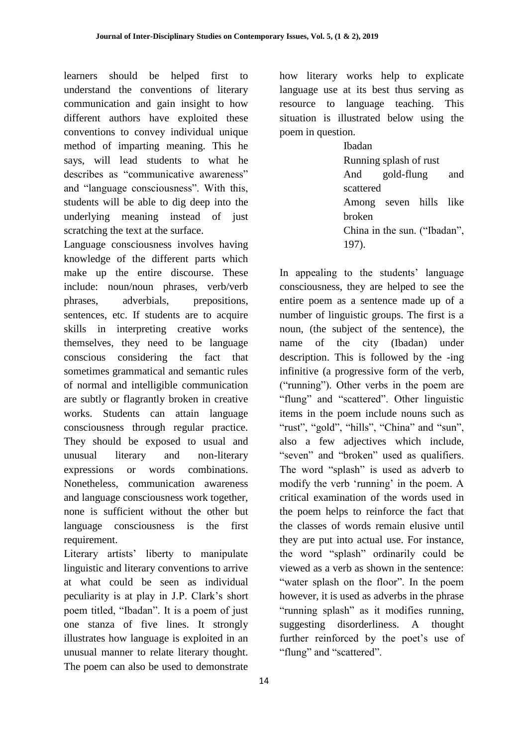learners should be helped first to understand the conventions of literary communication and gain insight to how different authors have exploited these conventions to convey individual unique method of imparting meaning. This he says, will lead students to what he describes as "communicative awareness" and "language consciousness". With this, students will be able to dig deep into the underlying meaning instead of just scratching the text at the surface.

Language consciousness involves having knowledge of the different parts which make up the entire discourse. These include: noun/noun phrases, verb/verb phrases, adverbials, prepositions, sentences, etc. If students are to acquire skills in interpreting creative works themselves, they need to be language conscious considering the fact that sometimes grammatical and semantic rules of normal and intelligible communication are subtly or flagrantly broken in creative works. Students can attain language consciousness through regular practice. They should be exposed to usual and unusual literary and non-literary expressions or words combinations. Nonetheless, communication awareness and language consciousness work together, none is sufficient without the other but language consciousness is the first requirement.

Literary artists' liberty to manipulate linguistic and literary conventions to arrive at what could be seen as individual peculiarity is at play in J.P. Clark"s short poem titled, "Ibadan". It is a poem of just one stanza of five lines. It strongly illustrates how language is exploited in an unusual manner to relate literary thought. The poem can also be used to demonstrate

how literary works help to explicate language use at its best thus serving as resource to language teaching. This situation is illustrated below using the poem in question.

Ibadan Running splash of rust And gold-flung and scattered Among seven hills like broken China in the sun. ("Ibadan", 197).

In appealing to the students' language consciousness, they are helped to see the entire poem as a sentence made up of a number of linguistic groups. The first is a noun, (the subject of the sentence), the name of the city (Ibadan) under description. This is followed by the -ing infinitive (a progressive form of the verb, ("running"). Other verbs in the poem are "flung" and "scattered". Other linguistic items in the poem include nouns such as "rust", "gold", "hills", "China" and "sun", also a few adjectives which include, "seven" and "broken" used as qualifiers. The word "splash" is used as adverb to modify the verb 'running' in the poem. A critical examination of the words used in the poem helps to reinforce the fact that the classes of words remain elusive until they are put into actual use. For instance, the word "splash" ordinarily could be viewed as a verb as shown in the sentence: "water splash on the floor". In the poem however, it is used as adverbs in the phrase "running splash" as it modifies running, suggesting disorderliness. A thought further reinforced by the poet's use of "flung" and "scattered".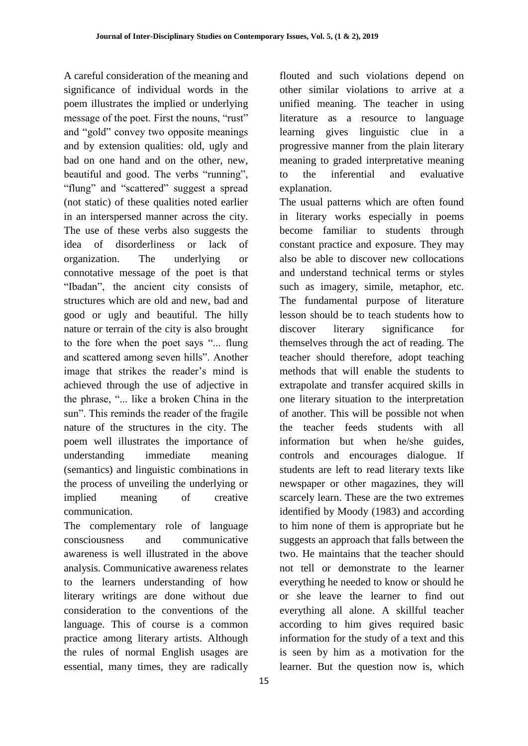A careful consideration of the meaning and significance of individual words in the poem illustrates the implied or underlying message of the poet. First the nouns, "rust" and "gold" convey two opposite meanings and by extension qualities: old, ugly and bad on one hand and on the other, new, beautiful and good. The verbs "running", "flung" and "scattered" suggest a spread (not static) of these qualities noted earlier in an interspersed manner across the city. The use of these verbs also suggests the idea of disorderliness or lack of organization. The underlying or connotative message of the poet is that "Ibadan", the ancient city consists of structures which are old and new, bad and good or ugly and beautiful. The hilly nature or terrain of the city is also brought to the fore when the poet says "... flung and scattered among seven hills". Another image that strikes the reader"s mind is achieved through the use of adjective in the phrase, "... like a broken China in the sun". This reminds the reader of the fragile nature of the structures in the city. The poem well illustrates the importance of understanding immediate meaning (semantics) and linguistic combinations in the process of unveiling the underlying or implied meaning of creative communication.

The complementary role of language consciousness and communicative awareness is well illustrated in the above analysis. Communicative awareness relates to the learners understanding of how literary writings are done without due consideration to the conventions of the language. This of course is a common practice among literary artists. Although the rules of normal English usages are essential, many times, they are radically

15

flouted and such violations depend on other similar violations to arrive at a unified meaning. The teacher in using literature as a resource to language learning gives linguistic clue in a progressive manner from the plain literary meaning to graded interpretative meaning to the inferential and evaluative explanation.

The usual patterns which are often found in literary works especially in poems become familiar to students through constant practice and exposure. They may also be able to discover new collocations and understand technical terms or styles such as imagery, simile, metaphor, etc. The fundamental purpose of literature lesson should be to teach students how to discover literary significance for themselves through the act of reading. The teacher should therefore, adopt teaching methods that will enable the students to extrapolate and transfer acquired skills in one literary situation to the interpretation of another. This will be possible not when the teacher feeds students with all information but when he/she guides, controls and encourages dialogue. If students are left to read literary texts like newspaper or other magazines, they will scarcely learn. These are the two extremes identified by Moody (1983) and according to him none of them is appropriate but he suggests an approach that falls between the two. He maintains that the teacher should not tell or demonstrate to the learner everything he needed to know or should he or she leave the learner to find out everything all alone. A skillful teacher according to him gives required basic information for the study of a text and this is seen by him as a motivation for the learner. But the question now is, which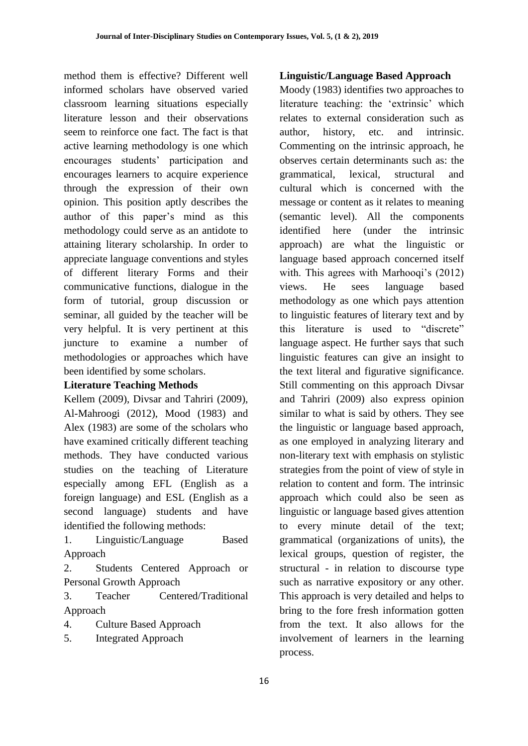method them is effective? Different well informed scholars have observed varied classroom learning situations especially literature lesson and their observations seem to reinforce one fact. The fact is that active learning methodology is one which encourages students" participation and encourages learners to acquire experience through the expression of their own opinion. This position aptly describes the author of this paper"s mind as this methodology could serve as an antidote to attaining literary scholarship. In order to appreciate language conventions and styles of different literary Forms and their communicative functions, dialogue in the form of tutorial, group discussion or seminar, all guided by the teacher will be very helpful. It is very pertinent at this juncture to examine a number of methodologies or approaches which have been identified by some scholars.

### **Literature Teaching Methods**

Kellem (2009), Divsar and Tahriri (2009), Al-Mahroogi (2012), Mood (1983) and Alex (1983) are some of the scholars who have examined critically different teaching methods. They have conducted various studies on the teaching of Literature especially among EFL (English as a foreign language) and ESL (English as a second language) students and have identified the following methods:

1. Linguistic/Language Based Approach

2. Students Centered Approach or Personal Growth Approach

3. Teacher Centered/Traditional Approach

- 4. Culture Based Approach
- 5. Integrated Approach

## **Linguistic/Language Based Approach**

Moody (1983) identifies two approaches to literature teaching: the 'extrinsic' which relates to external consideration such as author, history, etc. and intrinsic. Commenting on the intrinsic approach, he observes certain determinants such as: the grammatical, lexical, structural and cultural which is concerned with the message or content as it relates to meaning (semantic level). All the components identified here (under the intrinsic approach) are what the linguistic or language based approach concerned itself with. This agrees with Marhooqi's (2012) views. He sees language based methodology as one which pays attention to linguistic features of literary text and by this literature is used to "discrete" language aspect. He further says that such linguistic features can give an insight to the text literal and figurative significance. Still commenting on this approach Divsar and Tahriri (2009) also express opinion similar to what is said by others. They see the linguistic or language based approach, as one employed in analyzing literary and non-literary text with emphasis on stylistic strategies from the point of view of style in relation to content and form. The intrinsic approach which could also be seen as linguistic or language based gives attention to every minute detail of the text; grammatical (organizations of units), the lexical groups, question of register, the structural - in relation to discourse type such as narrative expository or any other. This approach is very detailed and helps to bring to the fore fresh information gotten from the text. It also allows for the involvement of learners in the learning process.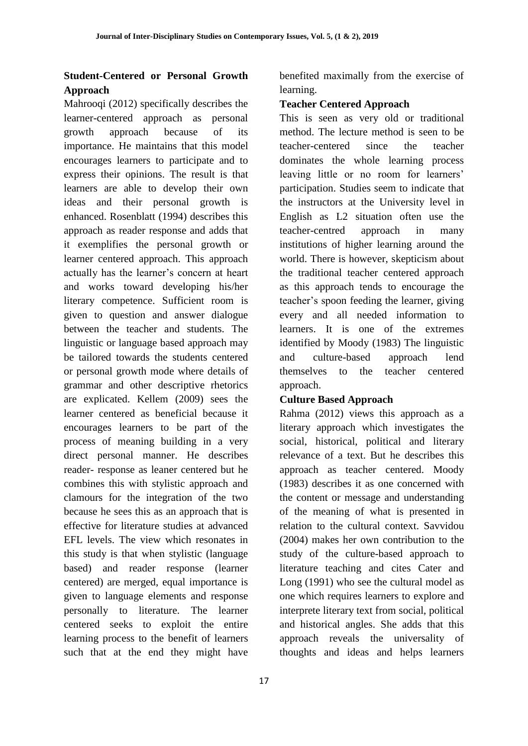# **Student-Centered or Personal Growth Approach**

Mahrooqi (2012) specifically describes the learner-centered approach as personal growth approach because of its importance. He maintains that this model encourages learners to participate and to express their opinions. The result is that learners are able to develop their own ideas and their personal growth is enhanced. Rosenblatt (1994) describes this approach as reader response and adds that it exemplifies the personal growth or learner centered approach. This approach actually has the learner"s concern at heart and works toward developing his/her literary competence. Sufficient room is given to question and answer dialogue between the teacher and students. The linguistic or language based approach may be tailored towards the students centered or personal growth mode where details of grammar and other descriptive rhetorics are explicated. Kellem (2009) sees the learner centered as beneficial because it encourages learners to be part of the process of meaning building in a very direct personal manner. He describes reader- response as leaner centered but he combines this with stylistic approach and clamours for the integration of the two because he sees this as an approach that is effective for literature studies at advanced EFL levels. The view which resonates in this study is that when stylistic (language based) and reader response (learner centered) are merged, equal importance is given to language elements and response personally to literature. The learner centered seeks to exploit the entire learning process to the benefit of learners such that at the end they might have

benefited maximally from the exercise of learning.

# **Teacher Centered Approach**

This is seen as very old or traditional method. The lecture method is seen to be teacher-centered since the teacher dominates the whole learning process leaving little or no room for learners' participation. Studies seem to indicate that the instructors at the University level in English as L2 situation often use the teacher-centred approach in many institutions of higher learning around the world. There is however, skepticism about the traditional teacher centered approach as this approach tends to encourage the teacher"s spoon feeding the learner, giving every and all needed information to learners. It is one of the extremes identified by Moody (1983) The linguistic and culture-based approach lend themselves to the teacher centered approach.

# **Culture Based Approach**

Rahma (2012) views this approach as a literary approach which investigates the social, historical, political and literary relevance of a text. But he describes this approach as teacher centered. Moody (1983) describes it as one concerned with the content or message and understanding of the meaning of what is presented in relation to the cultural context. Savvidou (2004) makes her own contribution to the study of the culture-based approach to literature teaching and cites Cater and Long (1991) who see the cultural model as one which requires learners to explore and interprete literary text from social, political and historical angles. She adds that this approach reveals the universality of thoughts and ideas and helps learners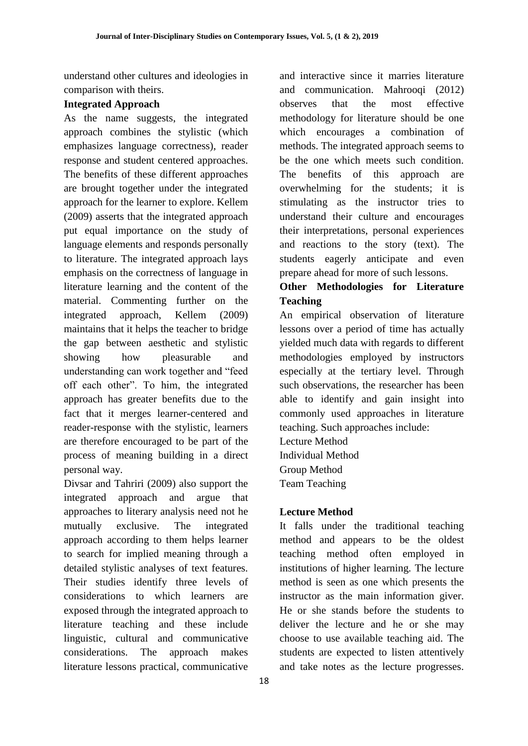understand other cultures and ideologies in comparison with theirs.

## **Integrated Approach**

As the name suggests, the integrated approach combines the stylistic (which emphasizes language correctness), reader response and student centered approaches. The benefits of these different approaches are brought together under the integrated approach for the learner to explore. Kellem (2009) asserts that the integrated approach put equal importance on the study of language elements and responds personally to literature. The integrated approach lays emphasis on the correctness of language in literature learning and the content of the material. Commenting further on the integrated approach, Kellem (2009) maintains that it helps the teacher to bridge the gap between aesthetic and stylistic showing how pleasurable and understanding can work together and "feed off each other". To him, the integrated approach has greater benefits due to the fact that it merges learner-centered and reader-response with the stylistic, learners are therefore encouraged to be part of the process of meaning building in a direct personal way.

Divsar and Tahriri (2009) also support the integrated approach and argue that approaches to literary analysis need not he mutually exclusive. The integrated approach according to them helps learner to search for implied meaning through a detailed stylistic analyses of text features. Their studies identify three levels of considerations to which learners are exposed through the integrated approach to literature teaching and these include linguistic, cultural and communicative considerations. The approach makes literature lessons practical, communicative and interactive since it marries literature and communication. Mahrooqi (2012) observes that the most effective methodology for literature should be one which encourages a combination of methods. The integrated approach seems to be the one which meets such condition. The benefits of this approach are overwhelming for the students; it is stimulating as the instructor tries to understand their culture and encourages their interpretations, personal experiences and reactions to the story (text). The students eagerly anticipate and even prepare ahead for more of such lessons.

# **Other Methodologies for Literature Teaching**

An empirical observation of literature lessons over a period of time has actually yielded much data with regards to different methodologies employed by instructors especially at the tertiary level. Through such observations, the researcher has been able to identify and gain insight into commonly used approaches in literature teaching. Such approaches include:

Lecture Method Individual Method Group Method Team Teaching

# **Lecture Method**

It falls under the traditional teaching method and appears to be the oldest teaching method often employed in institutions of higher learning. The lecture method is seen as one which presents the instructor as the main information giver. He or she stands before the students to deliver the lecture and he or she may choose to use available teaching aid. The students are expected to listen attentively and take notes as the lecture progresses.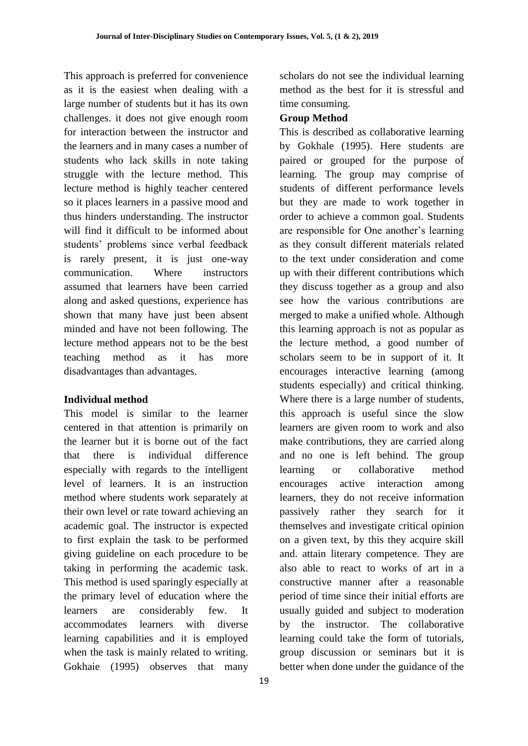This approach is preferred for convenience as it is the easiest when dealing with a large number of students but it has its own challenges. it does not give enough room for interaction between the instructor and the learners and in many cases a number of students who lack skills in note taking struggle with the lecture method. This lecture method is highly teacher centered so it places learners in a passive mood and thus hinders understanding. The instructor will find it difficult to be informed about students" problems since verbal feedback is rarely present, it is just one-way communication. Where instructors assumed that learners have been carried along and asked questions, experience has shown that many have just been absent minded and have not been following. The lecture method appears not to be the best teaching method as it has more disadvantages than advantages.

### **Individual method**

This model is similar to the learner centered in that attention is primarily on the learner but it is borne out of the fact that there is individual difference especially with regards to the intelligent level of learners. It is an instruction method where students work separately at their own level or rate toward achieving an academic goal. The instructor is expected to first explain the task to be performed giving guideline on each procedure to be taking in performing the academic task. This method is used sparingly especially at the primary level of education where the learners are considerably few. It accommodates learners with diverse learning capabilities and it is employed when the task is mainly related to writing. Gokhaie (1995) observes that many

19

scholars do not see the individual learning method as the best for it is stressful and time consuming.

### **Group Method**

This is described as collaborative learning by Gokhale (1995). Here students are paired or grouped for the purpose of learning. The group may comprise of students of different performance levels but they are made to work together in order to achieve a common goal. Students are responsible for One another"s learning as they consult different materials related to the text under consideration and come up with their different contributions which they discuss together as a group and also see how the various contributions are merged to make a unified whole. Although this learning approach is not as popular as the lecture method, a good number of scholars seem to be in support of it. It encourages interactive learning (among students especially) and critical thinking. Where there is a large number of students, this approach is useful since the slow learners are given room to work and also make contributions, they are carried along and no one is left behind. The group learning or collaborative method encourages active interaction among learners, they do not receive information passively rather they search for it themselves and investigate critical opinion on a given text, by this they acquire skill and. attain literary competence. They are also able to react to works of art in a constructive manner after a reasonable period of time since their initial efforts are usually guided and subject to moderation by the instructor. The collaborative learning could take the form of tutorials, group discussion or seminars but it is better when done under the guidance of the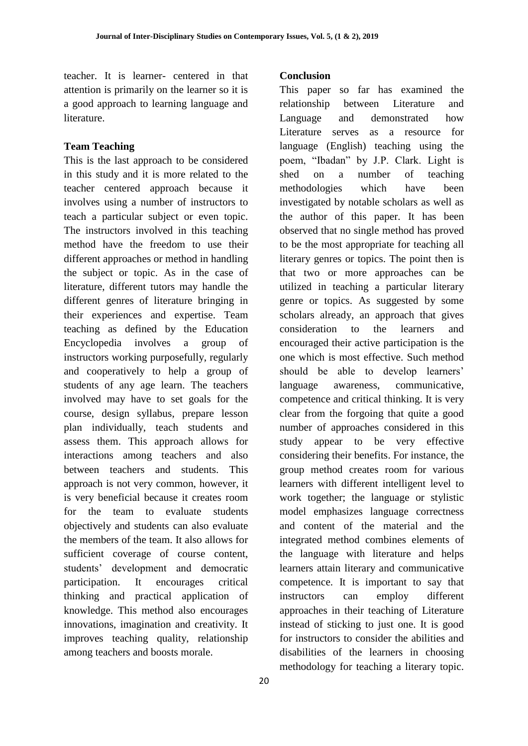teacher. It is learner- centered in that attention is primarily on the learner so it is a good approach to learning language and literature.

### **Team Teaching**

This is the last approach to be considered in this study and it is more related to the teacher centered approach because it involves using a number of instructors to teach a particular subject or even topic. The instructors involved in this teaching method have the freedom to use their different approaches or method in handling the subject or topic. As in the case of literature, different tutors may handle the different genres of literature bringing in their experiences and expertise. Team teaching as defined by the Education Encyclopedia involves a group of instructors working purposefully, regularly and cooperatively to help a group of students of any age learn. The teachers involved may have to set goals for the course, design syllabus, prepare lesson plan individually, teach students and assess them. This approach allows for interactions among teachers and also between teachers and students. This approach is not very common, however, it is very beneficial because it creates room for the team to evaluate students objectively and students can also evaluate the members of the team. It also allows for sufficient coverage of course content, students" development and democratic participation. It encourages critical thinking and practical application of knowledge. This method also encourages innovations, imagination and creativity. It improves teaching quality, relationship among teachers and boosts morale.

## **Conclusion**

This paper so far has examined the relationship between Literature and Language and demonstrated how Literature serves as a resource for language (English) teaching using the poem, "Ibadan" by J.P. Clark. Light is shed on a number of teaching methodologies which have been investigated by notable scholars as well as the author of this paper. It has been observed that no single method has proved to be the most appropriate for teaching all literary genres or topics. The point then is that two or more approaches can be utilized in teaching a particular literary genre or topics. As suggested by some scholars already, an approach that gives consideration to the learners and encouraged their active participation is the one which is most effective. Such method should be able to develop learners' language awareness, communicative, competence and critical thinking. It is very clear from the forgoing that quite a good number of approaches considered in this study appear to be very effective considering their benefits. For instance, the group method creates room for various learners with different intelligent level to work together; the language or stylistic model emphasizes language correctness and content of the material and the integrated method combines elements of the language with literature and helps learners attain literary and communicative competence. It is important to say that instructors can employ different approaches in their teaching of Literature instead of sticking to just one. It is good for instructors to consider the abilities and disabilities of the learners in choosing methodology for teaching a literary topic.